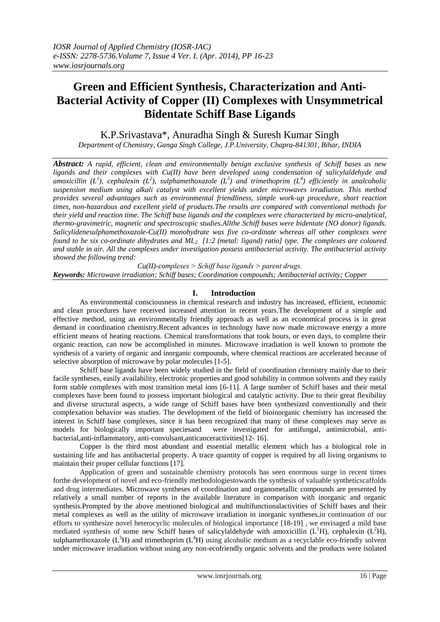# **Green and Efficient Synthesis, Characterization and Anti-Bacterial Activity of Copper (II) Complexes with Unsymmetrical Bidentate Schiff Base Ligands**

K.P.Srivastava\*, Anuradha Singh & Suresh Kumar Singh

*Department of Chemistry, Ganga Singh College, J.P.University, Chapra-841301, Bihar, INDIA*

*Abstract: A rapid, efficient, clean and environmentally benign exclusive synthesis of Schiff bases as new ligands and their complexes with Cu(II) have been developed using condensation of salicylaldehyde and amoxicillin (L<sup>1</sup> ), cephalexin (L<sup>2</sup> ), sulphamethoxazole (L<sup>3</sup> ) and trimethoprim (L<sup>4</sup> ) efficiently in analcoholic suspension medium using alkali catalyst with excellent yields under microwaves irradiation. This method provides several advantages such as environmental friendliness, simple work-up procedure, short reaction times, non-hazardous and excellent yield of products.The results are compared with conventional methods for their yield and reaction time. The Schiff base ligands and the complexes were characterized by micro-analytical, thermo-gravimetric, magnetic and spectroscopic studies.Allthe Schiff bases were bidentate (NO donor) ligands. Salicylidenesulphamethoxazole-Cu(II) monohydrate was five co-ordinate whereas all other complexes were found to be six co-ordinate dihydrates and ML2 [1:2 (metal: ligand) ratio] type. The complexes are coloured and stable in air. All the complexes under investigation possess antibacterial activity. The antibacterial activity showed the following trend:* 

*Cu(II)-complexes ˃ Schiff base ligands ˃ parent drugs. Keywords: Microwave irradiation; Schiff bases; Coordination compounds; Antibacterial activity; Copper*

# **I. Introduction**

As environmental consciousness in chemical research and industry has increased, efficient, economic and clean procedures have received increased attention in recent years.The development of a simple and effective method, using an environmentally friendly approach as well as an economical process is in great demand in coordination chemistry.Recent advances in technology have now made microwave energy a more efficient means of heating reactions. Chemical transformations that took hours, or even days, to complete their organic reaction, can now be accomplished in minutes. Microwave irradiation is well known to promote the synthesis of a variety of organic and inorganic compounds, where chemical reactions are accelerated because of selective absorption of microwave by polar molecules [1-5].

Schiff base ligands have been widely studied in the field of coordination chemistry mainly due to their facile syntheses, easily availability, electronic properties and good solubility in common solvents and they easily form stable complexes with most transition metal ions [6-11]. A large number of Schiff bases and their metal complexes have been found to possess important biological and catalytic activity. Due to their great flexibility and diverse structural aspects, a wide range of Schiff bases have been synthesized conventionally and their complexation behavior was studies. The development of the field of bioinorganic chemistry has increased the interest in Schiff base complexes, since it has been recognized that many of these complexes may serve as models for biologically important speciesand were investigated for antifungal, antimicrobial, antibacterial,anti-inflammatory, anti-convulsant,anticanceractivities[12- 16].

Copper is the third most abundant and essential metallic element which has a biological role in sustaining life and has antibacterial property. A trace quantity of copper is required by all living organisms to maintain their proper cellular functions [17].

Application of green and sustainable chemistry protocols has seen enormous surge in recent times forthe development of novel and eco-friendly methodologiestowards the synthesis of valuable syntheticscaffolds and drug intermediates. Microwave syntheses of coordination and organometallic compounds are presented by relatively a small number of reports in the available literature in comparison with inorganic and organic synthesis.Prompted by the above mentioned biological and multifunctionalactivities of Schiff bases and their metal complexes as well as the utility of microwave irradiation in inorganic syntheses,in continuation of our efforts to synthesize novel heterocyclic molecules of biological importance [18-19] , we envisaged a mild base mediated synthesis of some new Schiff bases of salicylaldehyde with amoxicillin  $(L<sup>1</sup>H)$ , cephalexin  $(L<sup>2</sup>H)$ , sulphamethoxazole  $(L<sup>3</sup>H)$  and trimethoprim  $(L<sup>4</sup>H)$  using alcoholic medium as a recyclable eco-friendly solvent under microwave irradiation without using any non-ecofriendly organic solvents and the products were isolated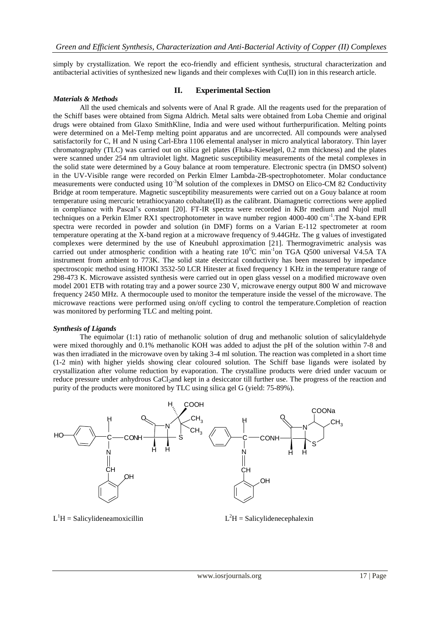simply by crystallization. We report the eco-friendly and efficient synthesis, structural characterization and antibacterial activities of synthesized new ligands and their complexes with Cu(II) ion in this research article.

## *Materials & Methods*

## **II. Experimental Section**

All the used chemicals and solvents were of Anal R grade. All the reagents used for the preparation of the Schiff bases were obtained from Sigma Aldrich. Metal salts were obtained from Loba Chemie and original drugs were obtained from Glaxo SmithKline, India and were used without furtherpurification. Melting points were determined on a Mel-Temp melting point apparatus and are uncorrected. All compounds were analysed satisfactorily for C, H and N using Carl-Ebra 1106 elemental analyser in micro analytical laboratory. Thin layer chromatography (TLC) was carried out on silica gel plates (Fluka-Kieselgel, 0.2 mm thickness) and the plates were scanned under 254 nm ultraviolet light. Magnetic susceptibility measurements of the metal complexes in the solid state were determined by a Gouy balance at room temperature. Electronic spectra (in DMSO solvent) in the UV-Visible range were recorded on Perkin Elmer Lambda-2B-spectrophotometer. Molar conductance measurements were conducted using  $10^{-3}M$  solution of the complexes in DMSO on Elico-CM 82 Conductivity Bridge at room temperature. Magnetic susceptibility measurements were carried out on a Gouy balance at room temperature using mercuric tetrathiocyanato cobaltate(II) as the calibrant. Diamagnetic corrections were applied in compliance with Pascal's constant [20]. FT-IR spectra were recorded in KBr medium and Nujol mull techniques on a Perkin Elmer RX1 spectrophotometer in wave number region 4000-400 cm<sup>-1</sup>. The X-band EPR spectra were recorded in powder and solution (in DMF) forms on a Varian E-112 spectrometer at room temperature operating at the X-band region at a microwave frequency of 9.44GHz. The g values of investigated complexes were determined by the use of Kneubuhl approximation [21]. Thermogravimetric analysis was carried out under atmospheric condition with a heating rate  $10^{\circ}$ C min<sup>-1</sup>on TGA Q500 universal V4.5A TA instrument from ambient to 773K. The solid state electrical conductivity has been measured by impedance spectroscopic method using HIOKI 3532-50 LCR Hitester at fixed frequency 1 KHz in the temperature range of 298-473 K. Microwave assisted synthesis were carried out in open glass vessel on a modified microwave oven model 2001 ETB with rotating tray and a power source 230 V, microwave energy output 800 W and microwave frequency 2450 MHz. A thermocouple used to monitor the temperature inside the vessel of the microwave. The microwave reactions were performed using on/off cycling to control the temperature.Completion of reaction was monitored by performing TLC and melting point.

### *Synthesis of Ligands*

The equimolar (1:1) ratio of methanolic solution of drug and methanolic solution of salicylaldehyde were mixed thoroughly and 0.1% methanolic KOH was added to adjust the pH of the solution within 7-8 and was then irradiated in the microwave oven by taking 3-4 ml solution. The reaction was completed in a short time (1-2 min) with higher yields showing clear coloured solution. The Schiff base ligands were isolated by crystallization after volume reduction by evaporation. The crystalline products were dried under vacuum or reduce pressure under anhydrous CaCl<sub>2</sub>and kept in a desiccator till further use. The progress of the reaction and purity of the products were monitored by TLC using silica gel G (yield: 75-89%).



 $L<sup>1</sup>H =$  Salicylideneamoxicillin L

 $L<sup>2</sup>H =$  Salicylidenecephalexin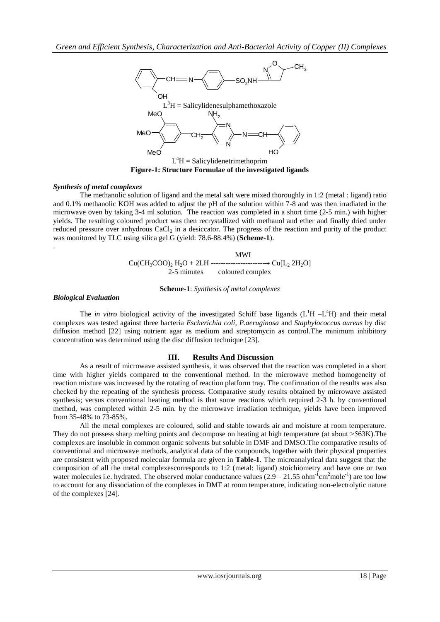

**Figure-1: Structure Formulae of the investigated ligands**

## *Synthesis of metal complexes*

The methanolic solution of ligand and the metal salt were mixed thoroughly in 1:2 (metal : ligand) ratio and 0.1% methanolic KOH was added to adjust the pH of the solution within 7-8 and was then irradiated in the microwave oven by taking 3-4 ml solution. The reaction was completed in a short time (2-5 min.) with higher yields. The resulting coloured product was then recrystallized with methanol and ether and finally dried under reduced pressure over anhydrous CaCl<sub>2</sub> in a desiccator. The progress of the reaction and purity of the product was monitored by TLC using silica gel G (yield: 78.6-88.4%) (**Scheme-1**).

> MWI Cu(CH3COO)<sup>2</sup> H2O + 2LH ---------------------→ Cu[L<sup>2</sup> 2H2O] 2-5 minutes coloured complex

> > **Scheme-1**: *Synthesis of metal complexes*

### *Biological Evaluation*

.

The *in vitro* biological activity of the investigated Schiff base ligands  $(L<sup>1</sup>H - L<sup>4</sup>H)$  and their metal complexes was tested against three bacteria *Escherichia coli, P.aeruginosa* and *Staphylococcus aureus* by disc diffusion method [22] using nutrient agar as medium and streptomycin as control.The minimum inhibitory concentration was determined using the disc diffusion technique [23].

### **III. Results And Discussion**

As a result of microwave assisted synthesis, it was observed that the reaction was completed in a short time with higher yields compared to the conventional method. In the microwave method homogeneity of reaction mixture was increased by the rotating of reaction platform tray. The confirmation of the results was also checked by the repeating of the synthesis process. Comparative study results obtained by microwave assisted synthesis; versus conventional heating method is that some reactions which required 2-3 h. by conventional method, was completed within 2-5 min. by the microwave irradiation technique, yields have been improved from 35-48% to 73-85%.

All the metal complexes are coloured, solid and stable towards air and moisture at room temperature. They do not possess sharp melting points and decompose on heating at high temperature (at about >563K).The complexes are insoluble in common organic solvents but soluble in DMF and DMSO.The comparative results of conventional and microwave methods, analytical data of the compounds, together with their physical properties are consistent with proposed molecular formula are given in **Table-1**. The microanalytical data suggest that the composition of all the metal complexescorresponds to 1:2 (metal: ligand) stoichiometry and have one or two water molecules i.e. hydrated. The observed molar conductance values  $(2.9 - 21.55)$  ohm<sup>-1</sup>cm<sup>2</sup>mole<sup>-1</sup>) are too low to account for any dissociation of the complexes in DMF at room temperature, indicating non-electrolytic nature of the complexes [24].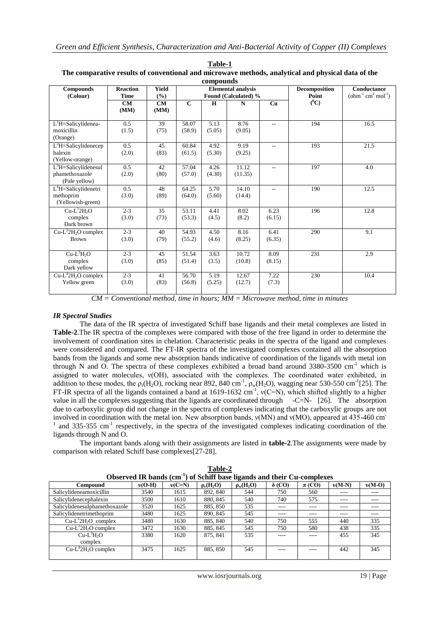| compounds                |                 |              |                           |        |             |                          |               |                                                   |
|--------------------------|-----------------|--------------|---------------------------|--------|-------------|--------------------------|---------------|---------------------------------------------------|
| <b>Compounds</b>         | <b>Reaction</b> | <b>Yield</b> | <b>Elemental analysis</b> |        |             |                          | Decomposition | Conductance                                       |
| (Colour)                 | <b>Time</b>     | (%)          | Found (Calculated) %      |        |             |                          | Point         | $\text{(ohm}^{-1} \text{ cm}^2 \text{ mol}^{-1})$ |
|                          | CM<br>(MM)      | CM<br>(MM)   | $\mathbf{C}$              | H      | $\mathbf N$ | Cu                       | $(^0C)$       |                                                   |
|                          |                 |              |                           |        |             |                          |               |                                                   |
| $L1H =$ Salicylidenea-   | 0.5             | 39           | 58.07                     | 5.13   | 8.76        | $\overline{a}$           | 194           | 16.5                                              |
| moxicillin               | (1.5)           | (75)         | (58.9)                    | (5.05) | (9.05)      |                          |               |                                                   |
| (Orange)                 |                 |              |                           |        |             |                          |               |                                                   |
| $L2H =$ Salicylidenecep  | 0.5             | 45           | 60.84                     | 4.92   | 9.19        | $\overline{\phantom{a}}$ | 193           | 21.5                                              |
| halexin                  | (2.0)           | (83)         | (61.5)                    | (5.30) | (9.25)      |                          |               |                                                   |
| (Yellow-orange)          |                 |              |                           |        |             |                          |               |                                                   |
| $L^3H =$ Salicylidenesul | 0.5             | 42           | 57.04                     | 4.26   | 11.12       | $-$                      | 197           | 4.0                                               |
| phamethoxazole           | (2.0)           | (80)         | (57.0)                    | (4.30) | (11.35)     |                          |               |                                                   |
| (Pale yellow)            |                 |              |                           |        |             |                          |               |                                                   |
| $L4H =$ Salicylidenetri  | 0.5             | 48           | 64.25                     | 5.70   | 14.10       | $-$                      | 190           | 12.5                                              |
| methoprim                | (3.0)           | (89)         | (64.0)                    | (5.60) | (14.4)      |                          |               |                                                   |
| (Yellowish-green)        |                 |              |                           |        |             |                          |               |                                                   |
| $Cu-L12H2O$              | $2 - 3$         | 35           | 53.11                     | 4.41   | 8.02        | 6.23                     | 196           | 12.8                                              |
| complex                  | (3.0)           | (73)         | (53.3)                    | (4.5)  | (8.2)       | (6.15)                   |               |                                                   |
| Dark brown               |                 |              |                           |        |             |                          |               |                                                   |
| $Cu-L^22H_2O$ complex    | $2 - 3$         | 40           | 54.93                     | 4.50   | 8.16        | 6.41                     | 290           | 9.1                                               |
| <b>Brown</b>             | (3.0)           | (79)         | (55.2)                    | (4.6)  | (8.25)      | (6.35)                   |               |                                                   |
|                          |                 |              |                           |        |             |                          |               |                                                   |
| $Cu-L^3H_2O$             | $2 - 3$         | 45           | 51.54                     | 3.63   | 10.72       | 8.09                     | 231           | 2.9                                               |
| complex                  | (3.0)           | (85)         | (51.4)                    | (3.5)  | (10.8)      | (8.15)                   |               |                                                   |
| Dark yellow              |                 |              |                           |        |             |                          |               |                                                   |
| $Cu-L42H2O$ complex      | $2 - 3$         | 41           | 56.70                     | 5.19   | 12.67       | 7.22                     | 230           | 10.4                                              |
| Yellow green             | (3.0)           | (83)         | (56.8)                    | (5.25) | (12.7)      | (7.3)                    |               |                                                   |
|                          |                 |              |                           |        |             |                          |               |                                                   |

| Table-1                                                                                            |
|----------------------------------------------------------------------------------------------------|
| The comparative results of conventional and microwave methods, analytical and physical data of the |

*CM = Conventional method, time in hours; MM = Microwave method, time in minutes*

# *IR Spectral Studies*

The data of the IR spectra of investigated Schiff base ligands and their metal complexes are listed in **Table-2**.The IR spectra of the complexes were compared with those of the free ligand in order to determine the involvement of coordination sites in chelation. Characteristic peaks in the spectra of the ligand and complexes were considered and compared. The FT-IR spectra of the investigated complexes contained all the absorption bands from the ligands and some new absorption bands indicative of coordination of the ligands with metal ion through N and O. The spectra of these complexes exhibited a broad band around  $3380-3500$  cm<sup>-1</sup> which is assigned to water molecules, ν(OH), associated with the complexes. The coordinated water exhibited, in addition to these modes, the  $\rho_r(H_2O)$ , rocking near 892, 840 cm<sup>-1</sup>,  $\rho_w(H_2O)$ , wagging near 530-550 cm<sup>-1</sup>[25]. The FT-IR spectra of all the ligands contained a band at 1619-1632 cm<sup>-1</sup>,  $v(C=N)$ , which shifted slightly to a higher value in all the complexes suggesting that the ligands are coordinated through -C=N- [26]. The absorption due to carboxylic group did not change in the spectra of complexes indicating that the carboxylic groups are not involved in coordination with the metal ion. New absorption bands, ν(MN) and ν(MO), appeared at 435-460 cm<sup>-</sup>  $1$  and 335-355 cm<sup>-1</sup> respectively, in the spectra of the investigated complexes indicating coordination of the ligands through N and O.

The important bands along with their assignments are listed in **table-2**.The assignments were made by comparison with related Schiff base complexes[27-28].

| Observed IR bands (cm <sup>-1</sup> ) of Schiff base ligands and their Cu-complexes |          |          |                |                |               |            |          |          |
|-------------------------------------------------------------------------------------|----------|----------|----------------|----------------|---------------|------------|----------|----------|
| Compound                                                                            | $v(O-H)$ | $v(C=N)$ | $\rho_r(H_2O)$ | $\rho_w(H_2O)$ | $\delta$ (CO) | $\pi$ (CO) | $v(M-N)$ | $v(M-O)$ |
| Salicylideneamoxicillin                                                             | 3540     | 1615     | 892, 840       | 544            | 750           | 560        | ----     | ----     |
| Salicylidenecephalexin                                                              | 3500     | 1610     | 880, 845       | 540            | 740           | 575        | ----     |          |
| Salicylidenesulphamethoxazole                                                       | 3520     | 1625     | 885, 850       | 535            | ----          | ----       | ----     | ----     |
| Salicylidenetrimethoprim                                                            | 3480     | 1625     | 890, 845       | 545            | ----          | ----       | ----     | ----     |
| $Cu-L12H2O$ complex                                                                 | 3480     | 1630     | 885, 840       | 540            | 750           | 555        | 440      | 335      |
| $Cu-L22H2O$ complex                                                                 | 3472     | 1630     | 885, 845       | 545            | 750           | 580        | 438      | 335      |
| $Cu-L^3H2O$                                                                         | 3380     | 1620     | 875.841        | 535            | ----          | ----       | 455      | 345      |
| complex                                                                             |          |          |                |                |               |            |          |          |
| $Cu-L^42H_2O$ complex                                                               | 3475     | 1625     | 885, 850       | 545            |               | ----       | 442      | 345      |
|                                                                                     |          |          |                |                |               |            |          |          |

**Table-2 Observed IR bands (cm-1**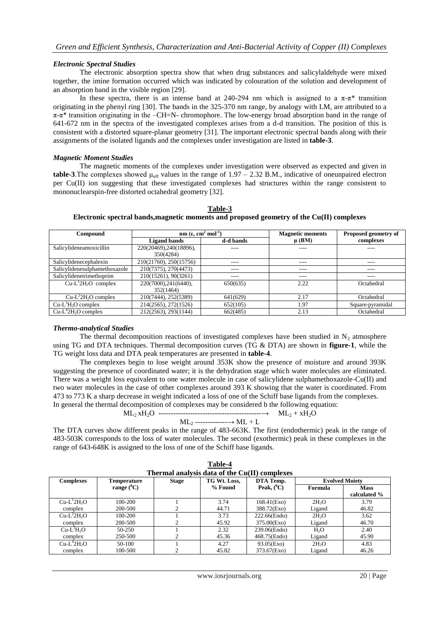# *Electronic Spectral Studies*

The electronic absorption spectra show that when drug substances and salicylaldehyde were mixed together, the imine formation occurred which was indicated by colouration of the solution and development of an absorption band in the visible region [29].

In these spectra, there is an intense band at 240-294 nm which is assigned to a  $\pi$ -π\* transition originating in the phenyl ring [30]. The bands in the 325-370 nm range, by analogy with LM, are attributed to a  $\pi$ - $\pi$ <sup>\*</sup> transition originating in the –CH=N- chromophore. The low-energy broad absorption band in the range of 641-672 nm in the spectra of the investigated complexes arises from a d-d transition. The position of this is consistent with a distorted square-planar geometry [31]. The important electronic spectral bands along with their assignments of the isolated ligands and the complexes under investigation are listed in **table-3**.

# *Magnetic Moment Studies*

The magnetic moments of the complexes under investigation were observed as expected and given in **table-3**. The complexes showed  $\mu_{eff}$  values in the range of 1.97 – 2.32 B.M., indicative of oneunpaired electron per Cu(II) ion suggesting that these investigated complexes had structures within the range consistent to mononuclearspin-free distorted octahedral geometry [32].

| Compound                      | nm ( $\varepsilon$ , cm <sup>2</sup> mol <sup>-1</sup> ) |           | <b>Magnetic moments</b> | Proposed geometry of |
|-------------------------------|----------------------------------------------------------|-----------|-------------------------|----------------------|
|                               | <b>Ligand bands</b>                                      | d-d bands | $\mu$ (BM)              | complexes            |
| Salicylideneamoxicillin       | 220(20469), 240(18896),                                  | ----      | ----                    | ----                 |
|                               | 350(4284)                                                |           |                         |                      |
| Salicylidenecephalexin        | 210(21760), 250(15756)                                   | ----      | ----                    | ----                 |
| Salicylidenesulphamethoxazole | 210(7375), 270(4473)                                     | ----      | ----                    | ----                 |
| Salicylidenetrimethoprim      | 210(15261), 90(3261)                                     | ----      | ----                    | ----                 |
| $Cu-L12H2O$ complex           | 220(7000), 241(6440),                                    | 650(635)  | 2.22                    | Octahedral           |
|                               | 352(1464)                                                |           |                         |                      |
| $Cu-L22H2O$ complex           | 210(7444), 252(5389)                                     | 641(629)  | 2.17                    | Octahedral           |
| $Cu-L3H2O$ complex            | 214(2565), 272(1526)                                     | 652(105)  | .97                     | Square-pyramidal     |
| $Cu-L42H2O$ complex           | 212(2563), 293(1144)                                     | 662(485)  | 2.13                    | Octahedral           |

**Table-3 Electronic spectral bands,magnetic moments and proposed geometry of the Cu(II) complexes** 

# *Thermo-analytical Studies*

The thermal decomposition reactions of investigated complexes have been studied in  $N_2$  atmosphere using TG and DTA techniques. Thermal decomposition curves (TG & DTA) are shown in **figure-1**, while the TG weight loss data and DTA peak temperatures are presented in **table-4**.

The complexes begin to lose weight around 353K show the presence of moisture and around 393K suggesting the presence of coordinated water; it is the dehydration stage which water molecules are eliminated. There was a weight loss equivalent to one water molecule in case of salicylidene sulphamethoxazole-Cu(II) and two water molecules in the case of other complexes around 393 K showing that the water is coordinated. From 473 to 773 K a sharp decrease in weight indicated a loss of one of the Schiff base ligands from the complexes. In general the thermal decomposition of complexes may be considered b the following equation:

ML<sup>2</sup> xH2O ------------------------------------------→ ML<sup>2</sup> + xH2O

$$
ML_2
$$
  $-- ML + L$ 

The DTA curves show different peaks in the range of 483-663K. The first (endothermic) peak in the range of 483-503K corresponds to the loss of water molecules. The second (exothermic) peak in these complexes in the range of 643-648K is assigned to the loss of one of the Schiff base ligands.

| 1 апіс-4                                      |                    |              |              |                |                       |              |  |
|-----------------------------------------------|--------------------|--------------|--------------|----------------|-----------------------|--------------|--|
| Thermal analysis data of the Cu(II) complexes |                    |              |              |                |                       |              |  |
| <b>Complexes</b>                              | <b>Temperature</b> | <b>Stage</b> | TG Wt. Loss, | DTA Temp.      | <b>Evolved Moiety</b> |              |  |
|                                               | range $(^0C)$      |              | % Found      | Peak, $(^0C)$  | Formula               | <b>Mass</b>  |  |
|                                               |                    |              |              |                |                       | calculated % |  |
| $Cu-L12H2O$                                   | 100-200            |              | 3.74         | $168.41$ (Exo) | 2H <sub>2</sub> O     | 3.79         |  |
| complex                                       | 200-500            |              | 44.71        | 388.72(Exo)    | Ligand                | 46.82        |  |
| $Cu-L^22H2O$                                  | 100-200            |              | 3.73         | 222.66(Endo)   | 2H <sub>2</sub> O     | 3.62         |  |
| complex                                       | 200-500            |              | 45.92        | 375.00(Exo)    | Ligand                | 46.70        |  |
| $Cu-L3H2O$                                    | 50-250             |              | 2.32         | 239.06(Endo)   | H <sub>2</sub> O      | 2.40         |  |
| complex                                       | 250-500            |              | 45.36        | 468.75(Endo)   | Ligand                | 45.90        |  |
| $Cu-L^42H2O$                                  | 50-100             |              | 4.27         | $93.05$ (Exo)  | 2H <sub>2</sub> O     | 4.83         |  |
| complex                                       | 100-500            |              | 45.82        | 373.67(Exo)    | Ligand                | 46.26        |  |

**Table-4**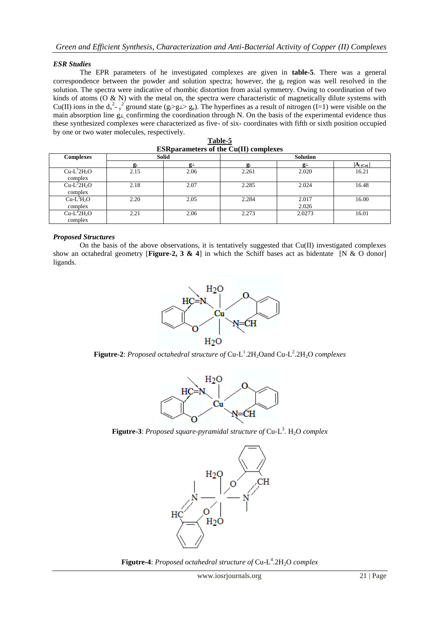# *ESR Studies*

The EPR parameters of he investigated complexes are given in **table-5**. There was a general correspondence between the powder and solution spectra; however, the  $g<sub>l</sub>$  region was well resolved in the solution. The spectra were indicative of rhombic distortion from axial symmetry. Owing to coordination of two kinds of atoms (O & N) with the metal on, the spectra were characteristic of magnetically dilute systems with Cu(II) ions in the  $d_x^2 - y^2$  ground state (g $\geq g \geq g_e$ ). The hyperfines as a result of nitrogen (I=1) were visible on the main absorption line g⊥ confirming the coordination through N. On the basis of the experimental evidence thus these synthesized complexes were characterized as five- of six- coordinates with fifth or sixth position occupied by one or two water molecules, respectively.

| <b>ESRDATAMELETS OF the Cu(II) complexes</b> |              |             |                 |                |                                 |  |
|----------------------------------------------|--------------|-------------|-----------------|----------------|---------------------------------|--|
| <b>Complexes</b>                             | <b>Solid</b> |             | <b>Solution</b> |                |                                 |  |
|                                              | g            | $g_{\perp}$ | gι              | $g_{\perp}$    | $ \mathbf{A}_{ (\mathbf{Cu})} $ |  |
| $Cu-L12H2O$<br>complex                       | 2.15         | 2.06        | 2.261           | 2.020          | 16.21                           |  |
| $Cu-L^22H_2O$<br>complex                     | 2.18         | 2.07        | 2.285           | 2.024          | 16.48                           |  |
| $Cu-L^3H_2O$<br>complex                      | 2.20         | 2.05        | 2.284           | 2.017<br>2.026 | 16.00                           |  |
| $Cu-L42H2O$<br>complex                       | 2.21         | 2.06        | 2.273           | 2.0273         | 16.01                           |  |

**Table-5 ESRparameters of the Cu(II) complexes**

# *Proposed Structures*

On the basis of the above observations, it is tentatively suggested that  $Cu(II)$  investigated complexes show an octahedral geometry [**Figure-2, 3 & 4**] in which the Schiff bases act as bidentate [N & O donor] ligands.



**Figutre-2**: *Proposed octahedral structure of* Cu-L<sup>1</sup>.2H<sub>2</sub>Oand Cu-L<sup>2</sup>.2H<sub>2</sub>O *complexes* 



Figutre-3: *Proposed square-pyramidal structure of* Cu-L<sup>3</sup>. H<sub>2</sub>O *complex* 



**Figutre-4**: *Proposed octahedral structure of* Cu-L 4 .2H2O *complex*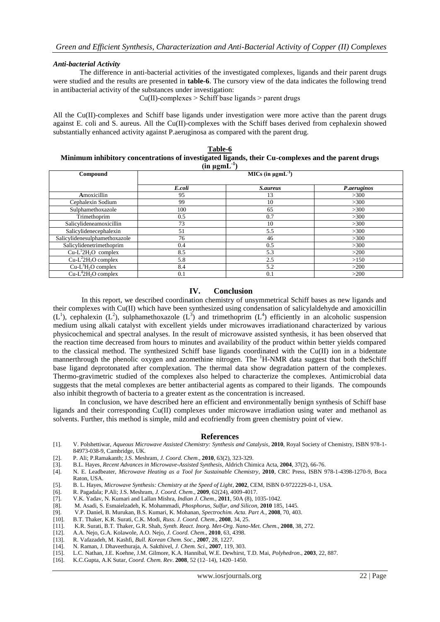## *Anti-bacterial Activity*

The difference in anti-bacterial activities of the investigated complexes, ligands and their parent drugs were studied and the results are presented in **table-6**. The cursory view of the data indicates the following trend in antibacterial activity of the substances under investigation:

 $Cu(II)$ -complexes  $>$  Schiff base ligands  $>$  parent drugs

All the Cu(II)-complexes and Schiff base ligands under investigation were more active than the parent drugs against E. coli and S. aureus. All the Cu(II)-complexes with the Schiff bases derived from cephalexin showed substantially enhanced activity against P.aeruginosa as compared with the parent drug.

# **Table-6 Minimum inhibitory concentrations of investigated ligands, their Cu-complexes and the parent drugs**   $(\text{in } \mu \text{g} \text{m} \text{L}^{-1})$

| $\mu$ m $\mu$ m $\mu$         |        |                 |             |  |  |  |
|-------------------------------|--------|-----------------|-------------|--|--|--|
| Compound                      |        |                 |             |  |  |  |
|                               | E.coli | <i>S.aureus</i> | P.aeruginos |  |  |  |
| Amoxicillin                   | 95     | 13              | >300        |  |  |  |
| Cephalexin Sodium             | 99     | 10              | >300        |  |  |  |
| Sulphamethoxazole             | 100    | 65              | >300        |  |  |  |
| Trimethoprim                  | 0.5    | 0.7             | >300        |  |  |  |
| Salicylideneamoxicillin       | 73     | 10              | >300        |  |  |  |
| Salicylidenecephalexin        | 51     | 5.5             | >300        |  |  |  |
| Salicylidenesulphamethoxazole | 76     | 46              | >300        |  |  |  |
| Salicylidenetrimethoprim      | 0.4    | 0.5             | >300        |  |  |  |
| $Cu-L12H2O$ complex           | 8.5    | 5.3             | >200        |  |  |  |
| $Cu-L^22H_2O$ complex         | 5.8    | 2.5             | >150        |  |  |  |
| $Cu-L^3H_2O$ complex          | 8.4    | 5.2             | >200        |  |  |  |
| $Cu-L42H2O$ complex           | 0.1    | 0.1             | >200        |  |  |  |

# **IV. Conclusion**

In this report, we described coordination chemistry of unsymmetrical Schiff bases as new ligands and their complexes with Cu(II) which have been synthesized using condensation of salicylaldehyde and amoxicillin  $(L<sup>1</sup>)$ , cephalexin  $(L<sup>2</sup>)$ , sulphamethoxazole  $(L<sup>3</sup>)$  and trimethoprim  $(L<sup>4</sup>)$  efficiently in an alcoholic suspension medium using alkali catalyst with excellent yields under microwaves irradiationand characterized by various physicochemical and spectral analyses. In the result of microwave assisted synthesis, it has been observed that the reaction time decreased from hours to minutes and availability of the product within better yields compared to the classical method. The synthesized Schiff base ligands coordinated with the  $Cu(II)$  ion in a bidentate mannerthrough the phenolic oxygen and azomethine nitrogen. The <sup>1</sup>H-NMR data suggest that both theSchiff base ligand deprotonated after complexation. The thermal data show degradation pattern of the complexes. Thermo-gravimetric studied of the complexes also helped to characterize the complexes. Antimicrobial data suggests that the metal complexes are better antibacterial agents as compared to their ligands. The compounds also inhibit thegrowth of bacteria to a greater extent as the concentration is increased.

In conclusion, we have described here an efficient and environmentally benign synthesis of Schiff base ligands and their corresponding Cu(II) complexes under microwave irradiation using water and methanol as solvents. Further, this method is simple, mild and ecofriendly from green chemistry point of view.

# **References**

- [1]. V. Polshettiwar, *Aqueous Microwave Assisted Chemistry: Synthesis and Catalysis*, **2010**, Royal Society of Chemistry, ISBN 978-1- 84973-038-9, Cambridge, UK.
- [2]. P. Ali; P.Ramakanth; J.S. Meshram, *J. Coord. Chem*., **2010**, 63(2), 323-329.
- [3]. B.L. Hayes, *Recent Advances in Microwave-Assisted Synthesis*, Aldrich Chimica Acta, **2004**, 37(2), 66-76.
- [4]. N. E. Leadbeater, *Microwave Heating as a Tool for Sustainable Chemistry*, **2010**, CRC Press, ISBN 978-1-4398-1270-9, Boca Raton, USA.
- [5]. B. L. Hayes, *Microwave Synthesis: Chemistry at the Speed of Light*, **2002**, CEM, ISBN 0-9722229-0-1, USA.
- [6]. R. Pagadala; P.Ali; J.S. Meshram, *J. Coord. Chem*., **2009**, 62(24), 4009-4017.
- [7]. V.K. Yadav, N. Kumari and Lallan Mishra, *Indian J. Chem.,* **2011**, 50A (8), 1035-1042.
- [8]. M. Asadi, S. Esmaielzadeh, K. Mohammadi, *Phosphorus, Sulfur, and Silicon*, **2010** 185, 1445.
- [9]. V.P. Daniel, B. Murukan, B.S. Kumari, K. Mohanan, *Spectrochim. Acta. Part A*., **2008**, 70, 403.
- [10]. B.T. Thaker, K.R. Surati, C.K. Modi, *Russ. J. Coord. Chem*., **2008**, 34, 25.
- [11]. K.R. Surati, B.T. Thaker, G.R. Shah, *Synth. React. Inorg. Met-Org. Nano-Met. Chem*., **2008**, 38, 272.
- [12]. A.A. Nejo, G.A. Kolawole, A.O. Nejo, *J. Coord. Chem*., **2010**, 63, 4398.
- [13]. R. Vafazadeh, M. Kashfi, *Bull. Korean Chem. Soc*., **2007**, 28, 1227.
- [14]. N. Raman, J. Dhaveethuraja, A. Sakthivel, *J. Chem. Sci*., **2007**, 119, 303.
- [15]. L.C. Nathan, J.E. Koehne, J.M. Gilmore, K.A. Hannibal, W.E. Dewhirst, T.D. Mai, *Polyhedron*., **2003**, 22, 887.
- [16]. K.C.Gupta, A.K Sutar, *Coord. Chem. Rev*. **2008**, 52 (12–14), 1420–1450.